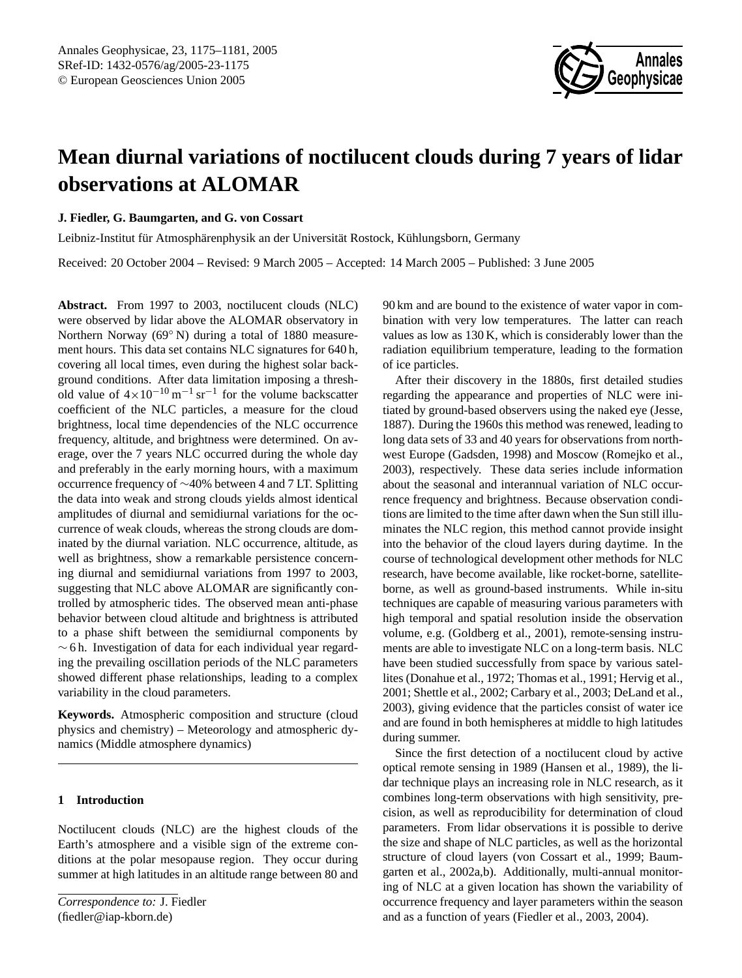

# **Mean diurnal variations of noctilucent clouds during 7 years of lidar observations at ALOMAR**

## **J. Fiedler, G. Baumgarten, and G. von Cossart**

Leibniz-Institut für Atmosphärenphysik an der Universität Rostock, Kühlungsborn, Germany

Received: 20 October 2004 – Revised: 9 March 2005 – Accepted: 14 March 2005 – Published: 3 June 2005

**Abstract.** From 1997 to 2003, noctilucent clouds (NLC) were observed by lidar above the ALOMAR observatory in Northern Norway (69◦ N) during a total of 1880 measurement hours. This data set contains NLC signatures for 640 h, covering all local times, even during the highest solar background conditions. After data limitation imposing a threshold value of  $4 \times 10^{-10}$  m<sup>-1</sup> sr<sup>-1</sup> for the volume backscatter coefficient of the NLC particles, a measure for the cloud brightness, local time dependencies of the NLC occurrence frequency, altitude, and brightness were determined. On average, over the 7 years NLC occurred during the whole day and preferably in the early morning hours, with a maximum occurrence frequency of ∼40% between 4 and 7 LT. Splitting the data into weak and strong clouds yields almost identical amplitudes of diurnal and semidiurnal variations for the occurrence of weak clouds, whereas the strong clouds are dominated by the diurnal variation. NLC occurrence, altitude, as well as brightness, show a remarkable persistence concerning diurnal and semidiurnal variations from 1997 to 2003, suggesting that NLC above ALOMAR are significantly controlled by atmospheric tides. The observed mean anti-phase behavior between cloud altitude and brightness is attributed to a phase shift between the semidiurnal components by  $\sim$  6 h. Investigation of data for each individual year regarding the prevailing oscillation periods of the NLC parameters showed different phase relationships, leading to a complex variability in the cloud parameters.

**Keywords.** Atmospheric composition and structure (cloud physics and chemistry) – Meteorology and atmospheric dynamics (Middle atmosphere dynamics)

## **1 Introduction**

Noctilucent clouds (NLC) are the highest clouds of the Earth's atmosphere and a visible sign of the extreme conditions at the polar mesopause region. They occur during summer at high latitudes in an altitude range between 80 and

<span id="page-0-0"></span>*Correspondence to:* J. Fiedler (fiedler@iap-kborn.de)

90 km and are bound to the existence of water vapor in combination with very low temperatures. The latter can reach values as low as 130 K, which is considerably lower than the radiation equilibrium temperature, leading to the formation of ice particles.

After their discovery in the 1880s, first detailed studies regarding the appearance and properties of NLC were initiated by ground-based observers using the naked eye [\(Jesse,](#page-6-0) [1887\)](#page-6-0). During the 1960s this method was renewed, leading to long data sets of 33 and 40 years for observations from northwest Europe [\(Gadsden,](#page-5-0) [1998\)](#page-5-0) and Moscow [\(Romejko et al.,](#page-6-1) [2003\)](#page-6-1), respectively. These data series include information about the seasonal and interannual variation of NLC occurrence frequency and brightness. Because observation conditions are limited to the time after dawn when the Sun still illuminates the NLC region, this method cannot provide insight into the behavior of the cloud layers during daytime. In the course of technological development other methods for NLC research, have become available, like rocket-borne, satelliteborne, as well as ground-based instruments. While in-situ techniques are capable of measuring various parameters with high temporal and spatial resolution inside the observation volume, e.g. [\(Goldberg et al.,](#page-6-2) [2001\)](#page-6-2), remote-sensing instruments are able to investigate NLC on a long-term basis. NLC have been studied successfully from space by various satellites [\(Donahue et al.,](#page-5-1) [1972;](#page-5-1) [Thomas et al.,](#page-6-3) [1991;](#page-6-3) [Hervig et al.,](#page-6-4) [2001;](#page-6-4) [Shettle et al.,](#page-6-5) [2002;](#page-6-5) [Carbary et al.,](#page-5-2) [2003;](#page-5-2) [DeLand et al.,](#page-5-3) [2003\)](#page-5-3), giving evidence that the particles consist of water ice and are found in both hemispheres at middle to high latitudes during summer.

Since the first detection of a noctilucent cloud by active optical remote sensing in 1989 [\(Hansen et al.,](#page-6-6) [1989\)](#page-6-6), the lidar technique plays an increasing role in NLC research, as it combines long-term observations with high sensitivity, precision, as well as reproducibility for determination of cloud parameters. From lidar observations it is possible to derive the size and shape of NLC particles, as well as the horizontal structure of cloud layers [\(von Cossart et al.,](#page-6-7) [1999;](#page-6-7) [Baum](#page-5-4)[garten et al.,](#page-5-4) [2002a](#page-5-4)[,b\)](#page-5-5). Additionally, multi-annual monitoring of NLC at a given location has shown the variability of occurrence frequency and layer parameters within the season and as a function of years [\(Fiedler et al.,](#page-5-6) [2003,](#page-5-6) [2004\)](#page-5-7).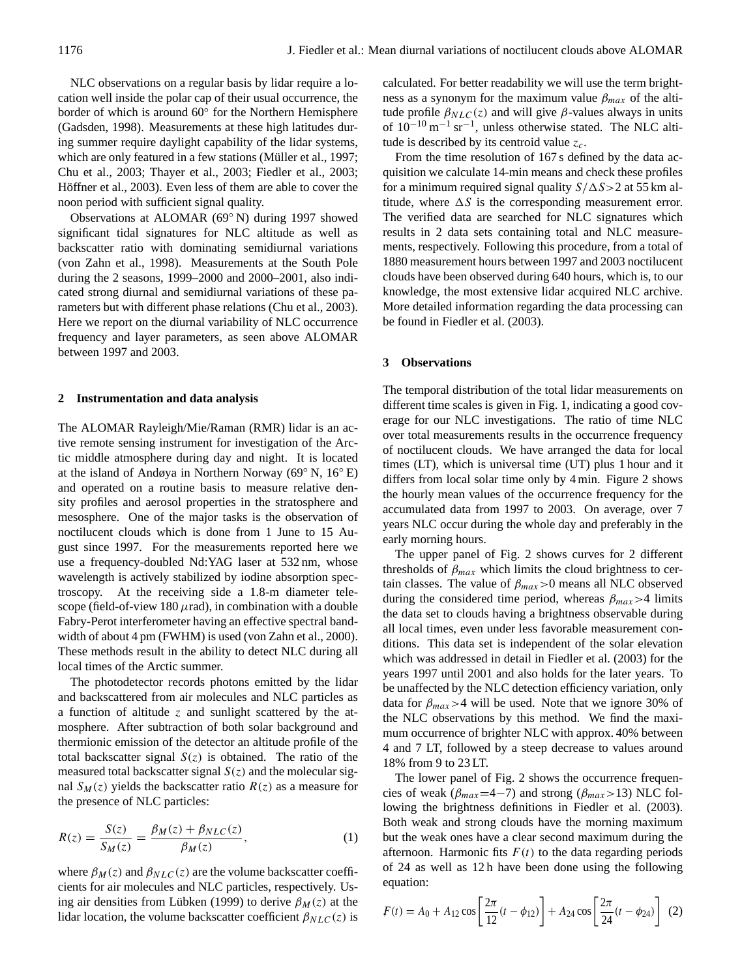NLC observations on a regular basis by lidar require a location well inside the polar cap of their usual occurrence, the border of which is around 60◦ for the Northern Hemisphere [\(Gadsden,](#page-5-0) [1998\)](#page-5-0). Measurements at these high latitudes during summer require daylight capability of the lidar systems, which are only featured in a few stations (Müller et al., [1997;](#page-6-8) [Chu et al.,](#page-5-8) [2003;](#page-5-8) [Thayer et al.,](#page-6-9) [2003;](#page-6-9) [Fiedler et al.,](#page-5-6) [2003;](#page-5-6) Höffner et al., [2003\)](#page-6-10). Even less of them are able to cover the noon period with sufficient signal quality.

Observations at ALOMAR (69◦ N) during 1997 showed significant tidal signatures for NLC altitude as well as backscatter ratio with dominating semidiurnal variations [\(von Zahn et al.,](#page-6-11) [1998\)](#page-6-11). Measurements at the South Pole during the 2 seasons, 1999–2000 and 2000–2001, also indicated strong diurnal and semidiurnal variations of these parameters but with different phase relations [\(Chu et al.,](#page-5-8) [2003\)](#page-5-8). Here we report on the diurnal variability of NLC occurrence frequency and layer parameters, as seen above ALOMAR between 1997 and 2003.

#### **2 Instrumentation and data analysis**

The ALOMAR Rayleigh/Mie/Raman (RMR) lidar is an active remote sensing instrument for investigation of the Arctic middle atmosphere during day and night. It is located at the island of Andøya in Northern Norway (69◦ N, 16◦ E) and operated on a routine basis to measure relative density profiles and aerosol properties in the stratosphere and mesosphere. One of the major tasks is the observation of noctilucent clouds which is done from 1 June to 15 August since 1997. For the measurements reported here we use a frequency-doubled Nd:YAG laser at 532 nm, whose wavelength is actively stabilized by iodine absorption spectroscopy. At the receiving side a 1.8-m diameter telescope (field-of-view 180  $\mu$ rad), in combination with a double Fabry-Perot interferometer having an effective spectral bandwidth of about 4 pm (FWHM) is used [\(von Zahn et al.,](#page-6-12) [2000\)](#page-6-12). These methods result in the ability to detect NLC during all local times of the Arctic summer.

The photodetector records photons emitted by the lidar and backscattered from air molecules and NLC particles as a function of altitude z and sunlight scattered by the atmosphere. After subtraction of both solar background and thermionic emission of the detector an altitude profile of the total backscatter signal  $S(z)$  is obtained. The ratio of the measured total backscatter signal  $S(z)$  and the molecular signal  $S_M(z)$  yields the backscatter ratio  $R(z)$  as a measure for the presence of NLC particles:

$$
R(z) = \frac{S(z)}{S_M(z)} = \frac{\beta_M(z) + \beta_{NLC}(z)}{\beta_M(z)},
$$
 (1)

where  $\beta_M(z)$  and  $\beta_{NLC}(z)$  are the volume backscatter coefficients for air molecules and NLC particles, respectively. Us-ing air densities from Lübken [\(1999\)](#page-6-13) to derive  $\beta_M(z)$  at the lidar location, the volume backscatter coefficient  $\beta_{NLC}(z)$  is

calculated. For better readability we will use the term brightness as a synonym for the maximum value  $\beta_{max}$  of the altitude profile  $\beta_{NLC}(z)$  and will give  $\beta$ -values always in units of  $10^{-10}$  m<sup>-1</sup> sr<sup>-1</sup>, unless otherwise stated. The NLC altitude is described by its centroid value  $z_c$ .

From the time resolution of 167 s defined by the data acquisition we calculate 14-min means and check these profiles for a minimum required signal quality  $S/\Delta S>2$  at 55 km altitude, where  $\Delta S$  is the corresponding measurement error. The verified data are searched for NLC signatures which results in 2 data sets containing total and NLC measurements, respectively. Following this procedure, from a total of 1880 measurement hours between 1997 and 2003 noctilucent clouds have been observed during 640 hours, which is, to our knowledge, the most extensive lidar acquired NLC archive. More detailed information regarding the data processing can be found in [Fiedler et al.](#page-5-6) [\(2003\)](#page-5-6).

#### **3 Observations**

The temporal distribution of the total lidar measurements on different time scales is given in Fig. [1,](#page-2-0) indicating a good coverage for our NLC investigations. The ratio of time NLC over total measurements results in the occurrence frequency of noctilucent clouds. We have arranged the data for local times (LT), which is universal time (UT) plus 1 hour and it differs from local solar time only by 4 min. Figure [2](#page-2-1) shows the hourly mean values of the occurrence frequency for the accumulated data from 1997 to 2003. On average, over 7 years NLC occur during the whole day and preferably in the early morning hours.

The upper panel of Fig. [2](#page-2-1) shows curves for 2 different thresholds of  $\beta_{max}$  which limits the cloud brightness to certain classes. The value of  $\beta_{max} > 0$  means all NLC observed during the considered time period, whereas  $\beta_{max} > 4$  limits the data set to clouds having a brightness observable during all local times, even under less favorable measurement conditions. This data set is independent of the solar elevation which was addressed in detail in [Fiedler et al.](#page-5-6) [\(2003\)](#page-5-6) for the years 1997 until 2001 and also holds for the later years. To be unaffected by the NLC detection efficiency variation, only data for  $\beta_{max} > 4$  will be used. Note that we ignore 30% of the NLC observations by this method. We find the maximum occurrence of brighter NLC with approx. 40% between 4 and 7 LT, followed by a steep decrease to values around 18% from 9 to 23 LT.

The lower panel of Fig. [2](#page-2-1) shows the occurrence frequencies of weak ( $\beta_{max}$ =4−7) and strong ( $\beta_{max}$ >13) NLC following the brightness definitions in [Fiedler et al.](#page-5-6) [\(2003\)](#page-5-6). Both weak and strong clouds have the morning maximum but the weak ones have a clear second maximum during the afternoon. Harmonic fits  $F(t)$  to the data regarding periods of 24 as well as 12 h have been done using the following equation:

$$
F(t) = A_0 + A_{12} \cos \left[ \frac{2\pi}{12} (t - \phi_{12}) \right] + A_{24} \cos \left[ \frac{2\pi}{24} (t - \phi_{24}) \right] (2)
$$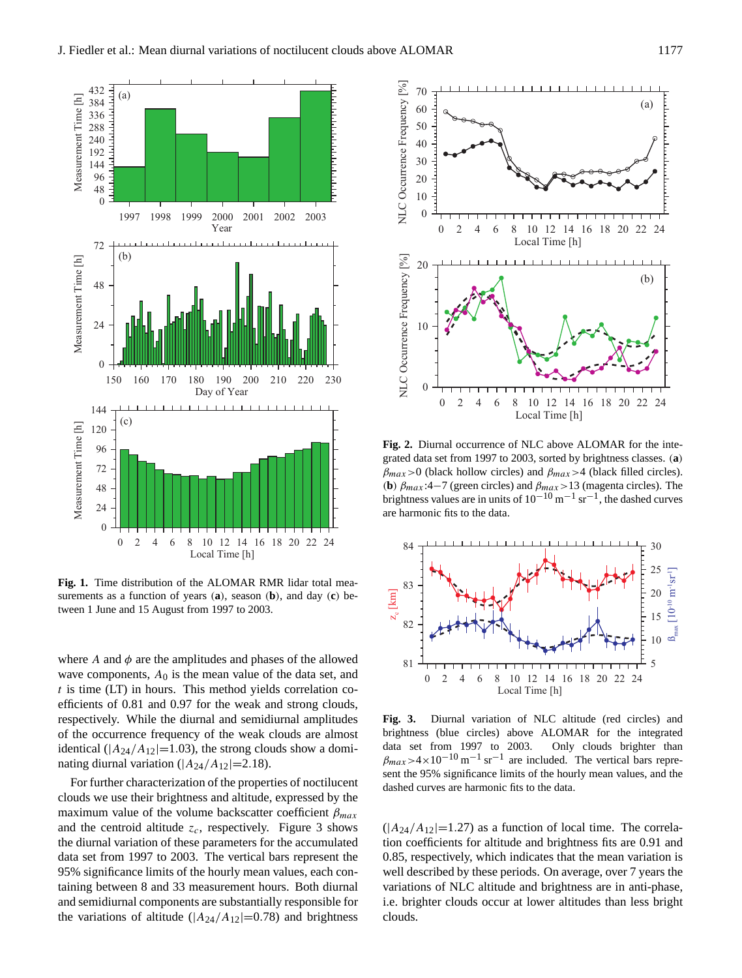

<span id="page-2-0"></span>**Fig. 1.** Time distribution of the ALOMAR RMR lidar total measurements as a function of years (**a**), season (**b**), and day (**c**) between 1 June and 15 August from 1997 to 2003.

where  $A$  and  $\phi$  are the amplitudes and phases of the allowed wave components,  $A_0$  is the mean value of the data set, and  $t$  is time (LT) in hours. This method yields correlation coefficients of 0.81 and 0.97 for the weak and strong clouds, respectively. While the diurnal and semidiurnal amplitudes of the occurrence frequency of the weak clouds are almost identical ( $|A_{24}/A_{12}|$ =1.03), the strong clouds show a dominating diurnal variation ( $|A_{24}/A_{12}|=2.18$ ).

For further characterization of the properties of noctilucent clouds we use their brightness and altitude, expressed by the maximum value of the volume backscatter coefficient  $\beta_{max}$ and the centroid altitude  $z_c$ , respectively. Figure [3](#page-2-2) shows the diurnal variation of these parameters for the accumulated data set from 1997 to 2003. The vertical bars represent the 95% significance limits of the hourly mean values, each containing between 8 and 33 measurement hours. Both diurnal and semidiurnal components are substantially responsible for the variations of altitude  $(|A_{24}/A_{12}|=0.78)$  and brightness



<span id="page-2-1"></span>**Fig. 2.** Diurnal occurrence of NLC above ALOMAR for the integrated data set from 1997 to 2003, sorted by brightness classes. (**a**)  $\beta_{max}$  > 0 (black hollow circles) and  $\beta_{max}$  > 4 (black filled circles). (**b**)  $\beta_{max}$ :4−7 (green circles) and  $\beta_{max}$ >13 (magenta circles). The brightness values are in units of  $10^{-10}$  m<sup>-1</sup> sr<sup>-1</sup>, the dashed curves are harmonic fits to the data.



<span id="page-2-2"></span>**Fig. 3.** Diurnal variation of NLC altitude (red circles) and brightness (blue circles) above ALOMAR for the integrated data set from 1997 to 2003. Only clouds brighter than  $\beta_{max} > 4 \times 10^{-10} \,\mathrm{m}^{-1} \,\mathrm{sr}^{-1}$  are included. The vertical bars represent the 95% significance limits of the hourly mean values, and the dashed curves are harmonic fits to the data.

 $(|A_{24}/A_{12}|=1.27)$  as a function of local time. The correlation coefficients for altitude and brightness fits are 0.91 and 0.85, respectively, which indicates that the mean variation is well described by these periods. On average, over 7 years the variations of NLC altitude and brightness are in anti-phase, i.e. brighter clouds occur at lower altitudes than less bright clouds.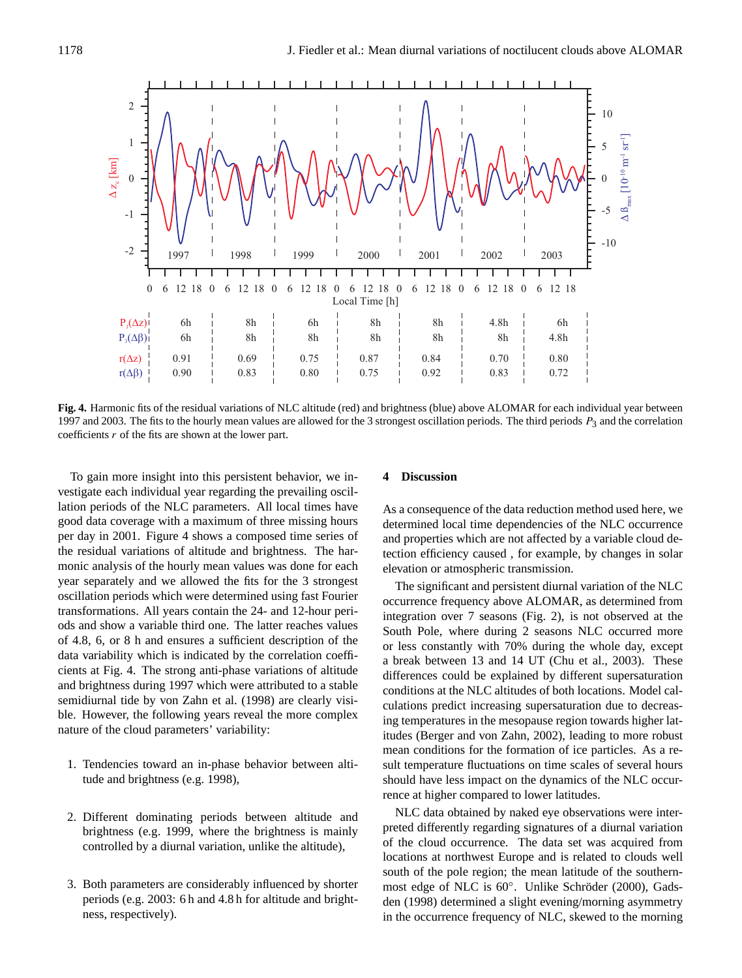

<span id="page-3-0"></span>**Fig. 4.** Harmonic fits of the residual variations of NLC altitude (red) and brightness (blue) above ALOMAR for each individual year between 1997 and 2003. The fits to the hourly mean values are allowed for the 3 strongest oscillation periods. The third periods  $P_3$  and the correlation coefficients  $r$  of the fits are shown at the lower part.

To gain more insight into this persistent behavior, we investigate each individual year regarding the prevailing oscillation periods of the NLC parameters. All local times have good data coverage with a maximum of three missing hours per day in 2001. Figure [4](#page-3-0) shows a composed time series of the residual variations of altitude and brightness. The harmonic analysis of the hourly mean values was done for each year separately and we allowed the fits for the 3 strongest oscillation periods which were determined using fast Fourier transformations. All years contain the 24- and 12-hour periods and show a variable third one. The latter reaches values of 4.8, 6, or 8 h and ensures a sufficient description of the data variability which is indicated by the correlation coefficients at Fig. [4.](#page-3-0) The strong anti-phase variations of altitude and brightness during 1997 which were attributed to a stable semidiurnal tide by [von Zahn et al.](#page-6-11) [\(1998\)](#page-6-11) are clearly visible. However, the following years reveal the more complex nature of the cloud parameters' variability:

- 1. Tendencies toward an in-phase behavior between altitude and brightness (e.g. 1998),
- 2. Different dominating periods between altitude and brightness (e.g. 1999, where the brightness is mainly controlled by a diurnal variation, unlike the altitude),
- 3. Both parameters are considerably influenced by shorter periods (e.g. 2003: 6 h and 4.8 h for altitude and brightness, respectively).

## **4 Discussion**

As a consequence of the data reduction method used here, we determined local time dependencies of the NLC occurrence and properties which are not affected by a variable cloud detection efficiency caused , for example, by changes in solar elevation or atmospheric transmission.

The significant and persistent diurnal variation of the NLC occurrence frequency above ALOMAR, as determined from integration over 7 seasons (Fig. [2\)](#page-2-1), is not observed at the South Pole, where during 2 seasons NLC occurred more or less constantly with 70% during the whole day, except a break between 13 and 14 UT [\(Chu et al.,](#page-5-8) [2003\)](#page-5-8). These differences could be explained by different supersaturation conditions at the NLC altitudes of both locations. Model calculations predict increasing supersaturation due to decreasing temperatures in the mesopause region towards higher latitudes [\(Berger and von Zahn,](#page-5-9) [2002\)](#page-5-9), leading to more robust mean conditions for the formation of ice particles. As a result temperature fluctuations on time scales of several hours should have less impact on the dynamics of the NLC occurrence at higher compared to lower latitudes.

NLC data obtained by naked eye observations were interpreted differently regarding signatures of a diurnal variation of the cloud occurrence. The data set was acquired from locations at northwest Europe and is related to clouds well south of the pole region; the mean latitude of the southern-most edge of NLC is 60°. Unlike Schröder [\(2000\)](#page-6-14), [Gads](#page-5-0)[den](#page-5-0) [\(1998\)](#page-5-0) determined a slight evening/morning asymmetry in the occurrence frequency of NLC, skewed to the morning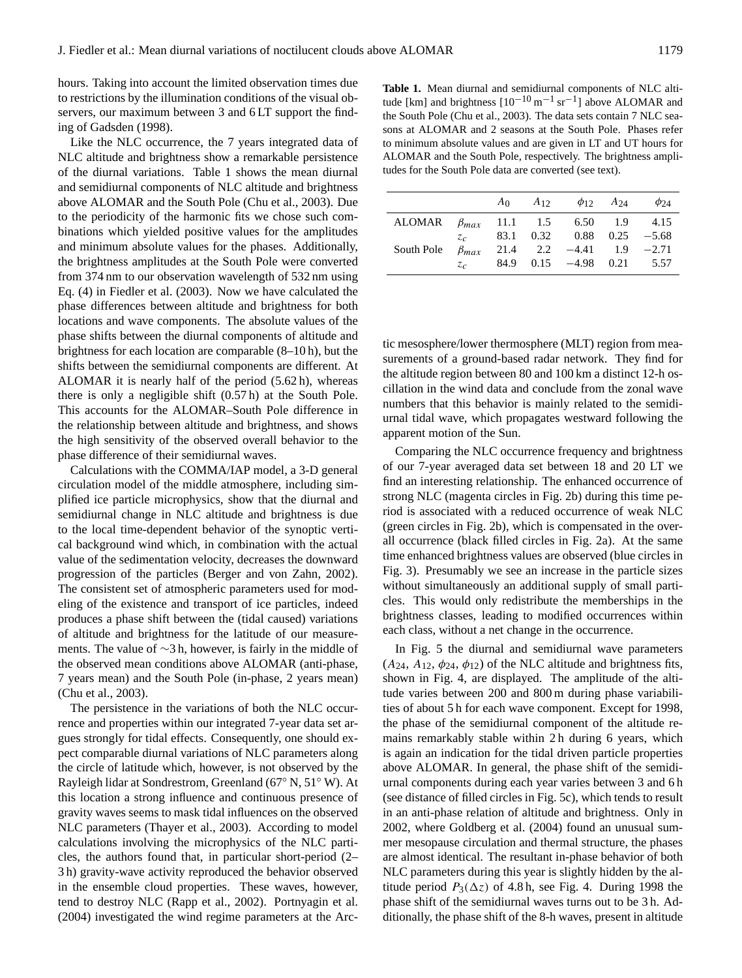hours. Taking into account the limited observation times due to restrictions by the illumination conditions of the visual observers, our maximum between 3 and 6 LT support the finding of [Gadsden](#page-5-0) [\(1998\)](#page-5-0).

Like the NLC occurrence, the 7 years integrated data of NLC altitude and brightness show a remarkable persistence of the diurnal variations. Table [1](#page-4-0) shows the mean diurnal and semidiurnal components of NLC altitude and brightness above ALOMAR and the South Pole [\(Chu et al.,](#page-5-8) [2003\)](#page-5-8). Due to the periodicity of the harmonic fits we chose such combinations which yielded positive values for the amplitudes and minimum absolute values for the phases. Additionally, the brightness amplitudes at the South Pole were converted from 374 nm to our observation wavelength of 532 nm using Eq. (4) in [Fiedler et al.](#page-5-6) [\(2003\)](#page-5-6). Now we have calculated the phase differences between altitude and brightness for both locations and wave components. The absolute values of the phase shifts between the diurnal components of altitude and brightness for each location are comparable (8–10 h), but the shifts between the semidiurnal components are different. At ALOMAR it is nearly half of the period (5.62 h), whereas there is only a negligible shift (0.57 h) at the South Pole. This accounts for the ALOMAR–South Pole difference in the relationship between altitude and brightness, and shows the high sensitivity of the observed overall behavior to the phase difference of their semidiurnal waves.

Calculations with the COMMA/IAP model, a 3-D general circulation model of the middle atmosphere, including simplified ice particle microphysics, show that the diurnal and semidiurnal change in NLC altitude and brightness is due to the local time-dependent behavior of the synoptic vertical background wind which, in combination with the actual value of the sedimentation velocity, decreases the downward progression of the particles [\(Berger and von Zahn,](#page-5-9) [2002\)](#page-5-9). The consistent set of atmospheric parameters used for modeling of the existence and transport of ice particles, indeed produces a phase shift between the (tidal caused) variations of altitude and brightness for the latitude of our measurements. The value of ∼3 h, however, is fairly in the middle of the observed mean conditions above ALOMAR (anti-phase, 7 years mean) and the South Pole (in-phase, 2 years mean) [\(Chu et al.,](#page-5-8) [2003\)](#page-5-8).

The persistence in the variations of both the NLC occurrence and properties within our integrated 7-year data set argues strongly for tidal effects. Consequently, one should expect comparable diurnal variations of NLC parameters along the circle of latitude which, however, is not observed by the Rayleigh lidar at Sondrestrom, Greenland (67◦ N, 51◦ W). At this location a strong influence and continuous presence of gravity waves seems to mask tidal influences on the observed NLC parameters [\(Thayer et al.,](#page-6-9) [2003\)](#page-6-9). According to model calculations involving the microphysics of the NLC particles, the authors found that, in particular short-period (2– 3 h) gravity-wave activity reproduced the behavior observed in the ensemble cloud properties. These waves, however, tend to destroy NLC [\(Rapp et al.,](#page-6-15) [2002\)](#page-6-15). [Portnyagin et al.](#page-6-16) [\(2004\)](#page-6-16) investigated the wind regime parameters at the Arc-

<span id="page-4-0"></span>**Table 1.** Mean diurnal and semidiurnal components of NLC altitude [km] and brightness  $[10^{-10} \text{ m}^{-1} \text{ sr}^{-1}]$  above ALOMAR and the South Pole [\(Chu et al.,](#page-5-8) [2003\)](#page-5-8). The data sets contain 7 NLC seasons at ALOMAR and 2 seasons at the South Pole. Phases refer to minimum absolute values and are given in LT and UT hours for ALOMAR and the South Pole, respectively. The brightness amplitudes for the South Pole data are converted (see text).

|            |               | A <sub>0</sub> | $A_{12}$  |                                    | $\phi_{12}$ $A_{24}$ | $\phi_{24}$ |
|------------|---------------|----------------|-----------|------------------------------------|----------------------|-------------|
| ALOMAR     | $\beta_{max}$ |                |           | $11.1$ $1.5$ $6.50$ $1.9$          |                      | 4.15        |
|            | $z_c$         |                | 83.1 0.32 | $0.88$ $0.25$ $-5.68$              |                      |             |
| South Pole | $\beta_{max}$ |                |           | $21.4$ $2.2$ $-4.41$ $1.9$ $-2.71$ |                      |             |
|            | $Z_{C}$       |                |           | $84.9$ $0.15$ $-4.98$ $0.21$       |                      | 5.57        |

tic mesosphere/lower thermosphere (MLT) region from measurements of a ground-based radar network. They find for the altitude region between 80 and 100 km a distinct 12-h oscillation in the wind data and conclude from the zonal wave numbers that this behavior is mainly related to the semidiurnal tidal wave, which propagates westward following the apparent motion of the Sun.

Comparing the NLC occurrence frequency and brightness of our 7-year averaged data set between 18 and 20 LT we find an interesting relationship. The enhanced occurrence of strong NLC (magenta circles in Fig. [2b](#page-2-1)) during this time period is associated with a reduced occurrence of weak NLC (green circles in Fig. [2b](#page-2-1)), which is compensated in the overall occurrence (black filled circles in Fig. [2a](#page-2-1)). At the same time enhanced brightness values are observed (blue circles in Fig. [3\)](#page-2-2). Presumably we see an increase in the particle sizes without simultaneously an additional supply of small particles. This would only redistribute the memberships in the brightness classes, leading to modified occurrences within each class, without a net change in the occurrence.

In Fig. [5](#page-5-10) the diurnal and semidiurnal wave parameters  $(A_{24}, A_{12}, \phi_{24}, \phi_{12})$  of the NLC altitude and brightness fits, shown in Fig. [4,](#page-3-0) are displayed. The amplitude of the altitude varies between 200 and 800 m during phase variabilities of about 5 h for each wave component. Except for 1998, the phase of the semidiurnal component of the altitude remains remarkably stable within 2 h during 6 years, which is again an indication for the tidal driven particle properties above ALOMAR. In general, the phase shift of the semidiurnal components during each year varies between 3 and 6 h (see distance of filled circles in Fig. [5c](#page-5-10)), which tends to result in an anti-phase relation of altitude and brightness. Only in 2002, where [Goldberg et al.](#page-6-17) [\(2004\)](#page-6-17) found an unusual summer mesopause circulation and thermal structure, the phases are almost identical. The resultant in-phase behavior of both NLC parameters during this year is slightly hidden by the altitude period  $P_3(\Delta z)$  of [4.](#page-3-0)8 h, see Fig. 4. During 1998 the phase shift of the semidiurnal waves turns out to be 3 h. Additionally, the phase shift of the 8-h waves, present in altitude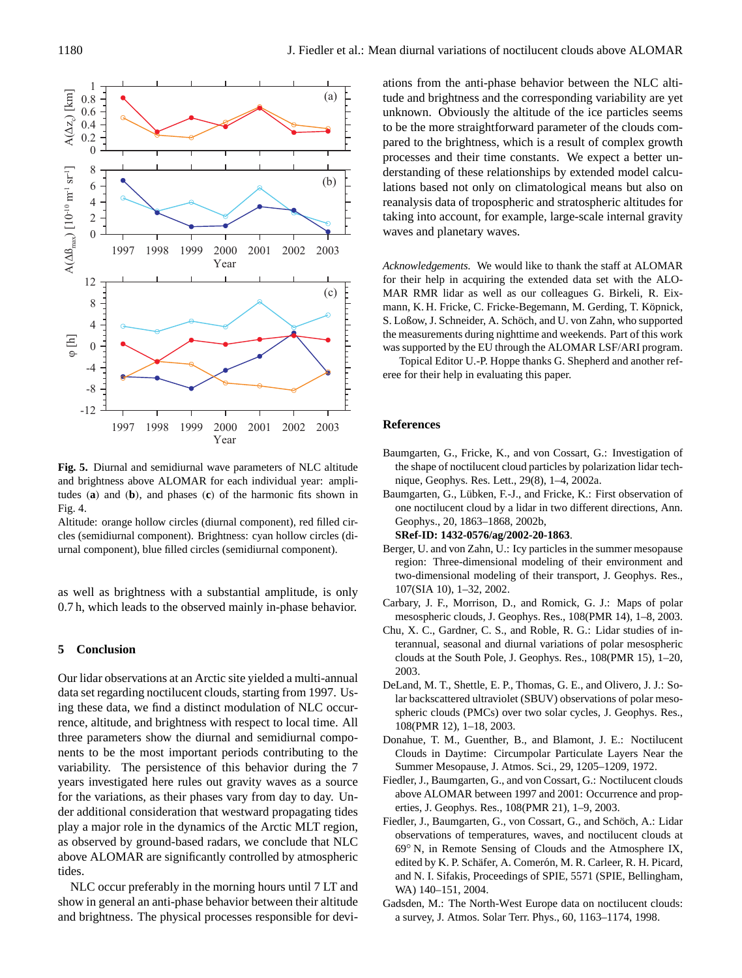

<span id="page-5-10"></span>**Fig. 5.** Diurnal and semidiurnal wave parameters of NLC altitude and brightness above ALOMAR for each individual year: amplitudes (**a**) and (**b**), and phases (**c**) of the harmonic fits shown in Fig. [4.](#page-3-0)

Altitude: orange hollow circles (diurnal component), red filled circles (semidiurnal component). Brightness: cyan hollow circles (diurnal component), blue filled circles (semidiurnal component).

as well as brightness with a substantial amplitude, is only 0.7 h, which leads to the observed mainly in-phase behavior.

## **5 Conclusion**

Our lidar observations at an Arctic site yielded a multi-annual data set regarding noctilucent clouds, starting from 1997. Using these data, we find a distinct modulation of NLC occurrence, altitude, and brightness with respect to local time. All three parameters show the diurnal and semidiurnal components to be the most important periods contributing to the variability. The persistence of this behavior during the 7 years investigated here rules out gravity waves as a source for the variations, as their phases vary from day to day. Under additional consideration that westward propagating tides play a major role in the dynamics of the Arctic MLT region, as observed by ground-based radars, we conclude that NLC above ALOMAR are significantly controlled by atmospheric tides.

NLC occur preferably in the morning hours until 7 LT and show in general an anti-phase behavior between their altitude and brightness. The physical processes responsible for deviations from the anti-phase behavior between the NLC altitude and brightness and the corresponding variability are yet unknown. Obviously the altitude of the ice particles seems to be the more straightforward parameter of the clouds compared to the brightness, which is a result of complex growth processes and their time constants. We expect a better understanding of these relationships by extended model calculations based not only on climatological means but also on reanalysis data of tropospheric and stratospheric altitudes for taking into account, for example, large-scale internal gravity waves and planetary waves.

*Acknowledgements.* We would like to thank the staff at ALOMAR for their help in acquiring the extended data set with the ALO-MAR RMR lidar as well as our colleagues G. Birkeli, R. Eixmann, K. H. Fricke, C. Fricke-Begemann, M. Gerding, T. Köpnick, S. Loßow, J. Schneider, A. Schöch, and U. von Zahn, who supported the measurements during nighttime and weekends. Part of this work was supported by the EU through the ALOMAR LSF/ARI program.

Topical Editor U.-P. Hoppe thanks G. Shepherd and another referee for their help in evaluating this paper.

#### **References**

- <span id="page-5-4"></span>Baumgarten, G., Fricke, K., and von Cossart, G.: Investigation of the shape of noctilucent cloud particles by polarization lidar technique, Geophys. Res. Lett., 29(8), 1–4, 2002a.
- <span id="page-5-5"></span>Baumgarten, G., Lübken, F.-J., and Fricke, K.: First observation of one noctilucent cloud by a lidar in two different directions, Ann. Geophys., 20, 1863–1868, 2002b,

## **[SRef-ID: 1432-0576/ag/2002-20-1863](http://direct.sref.org/1432-0576/ag/2002-20-1863)**.

- <span id="page-5-9"></span>Berger, U. and von Zahn, U.: Icy particles in the summer mesopause region: Three-dimensional modeling of their environment and two-dimensional modeling of their transport, J. Geophys. Res., 107(SIA 10), 1–32, 2002.
- <span id="page-5-2"></span>Carbary, J. F., Morrison, D., and Romick, G. J.: Maps of polar mesospheric clouds, J. Geophys. Res., 108(PMR 14), 1–8, 2003.
- <span id="page-5-8"></span>Chu, X. C., Gardner, C. S., and Roble, R. G.: Lidar studies of interannual, seasonal and diurnal variations of polar mesospheric clouds at the South Pole, J. Geophys. Res., 108(PMR 15), 1–20, 2003.
- <span id="page-5-3"></span>DeLand, M. T., Shettle, E. P., Thomas, G. E., and Olivero, J. J.: Solar backscattered ultraviolet (SBUV) observations of polar mesospheric clouds (PMCs) over two solar cycles, J. Geophys. Res., 108(PMR 12), 1–18, 2003.
- <span id="page-5-1"></span>Donahue, T. M., Guenther, B., and Blamont, J. E.: Noctilucent Clouds in Daytime: Circumpolar Particulate Layers Near the Summer Mesopause, J. Atmos. Sci., 29, 1205–1209, 1972.
- <span id="page-5-6"></span>Fiedler, J., Baumgarten, G., and von Cossart, G.: Noctilucent clouds above ALOMAR between 1997 and 2001: Occurrence and properties, J. Geophys. Res., 108(PMR 21), 1–9, 2003.
- <span id="page-5-7"></span>Fiedler, J., Baumgarten, G., von Cossart, G., and Schöch, A.: Lidar observations of temperatures, waves, and noctilucent clouds at 69◦ N, in Remote Sensing of Clouds and the Atmosphere IX, edited by K. P. Schäfer, A. Comerón, M. R. Carleer, R. H. Picard, and N. I. Sifakis, Proceedings of SPIE, 5571 (SPIE, Bellingham, WA) 140–151, 2004.
- <span id="page-5-0"></span>Gadsden, M.: The North-West Europe data on noctilucent clouds: a survey, J. Atmos. Solar Terr. Phys., 60, 1163–1174, 1998.